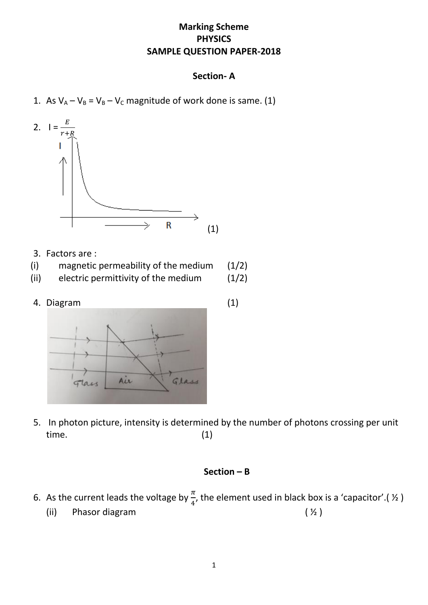## **Marking Scheme PHYSICS SAMPLE QUESTION PAPER-2018**

### **Section- A**

1. As  $V_A - V_B = V_B - V_C$  magnitude of work done is same. (1)



- 3. Factors are :
- (i) magnetic permeability of the medium (1/2)
- (ii) electric permittivity of the medium (1/2)
- 4. Diagram (1) Air Glass  $\overline{a}$
- 5. In photon picture, intensity is determined by the number of photons crossing per unit  $time.$  (1)

### **Section – B**

- 6. As the current leads the voltage by  $\frac{n}{4}$ , the element used in black box is a 'capacitor'.(  $\frac{n}{2}$  )
	- (ii) Phasor diagram ( ½ )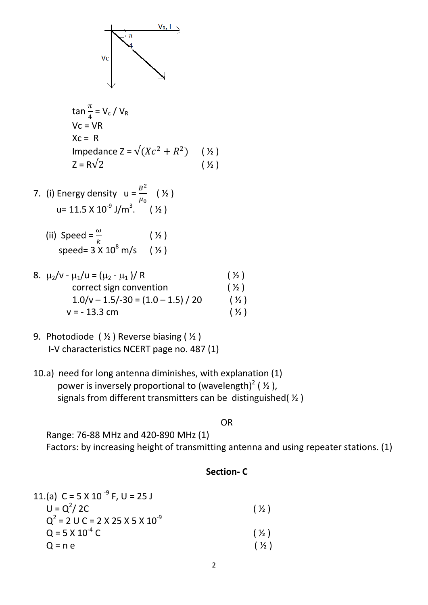

$$
\tan \frac{\pi}{4} = V_c / V_R
$$
  
\n
$$
Vc = VR
$$
  
\n
$$
Xc = R
$$
  
\nImpedance  $Z = \sqrt{(Xc^2 + R^2)} \quad (1/2)$   
\n
$$
Z = R\sqrt{2} \quad (1/2)
$$

- 7. (i) Energy density  $u = \frac{B^2}{u}$  $\frac{\nu}{\mu_0}$  ( ½ ) u= 11.5 X 10<sup>-9</sup> J/m<sup>3</sup>. (½ )
	- (ii) Speed =  $\frac{w}{k}$  ( ½ ) speed= 3 X 10<sup>8</sup> m/s ( ½ )
- 8.  $\mu_2/v \mu_1/u = (\mu_2 \mu_1)/R$  ( ½) correct sign convention  $(\frac{1}{2})$  $1.0/\nu - 1.5/30 = (1.0 - 1.5) / 20$  ( ½ )  $v = -13.3$  cm (  $\frac{1}{2}$  )
- 9. Photodiode  $(\frac{1}{2})$  Reverse biasing  $(\frac{1}{2})$ I-V characteristics NCERT page no. 487 (1)
- 10.a) need for long antenna diminishes, with explanation (1) power is inversely proportional to (wavelength)<sup>2</sup> ( $\frac{1}{2}$ ), signals from different transmitters can be distinguished( $\frac{1}{2}$ )

#### OR

Range: 76-88 MHz and 420-890 MHz (1) Factors: by increasing height of transmitting antenna and using repeater stations. (1)

### **Section- C**

| 11.(a) $C = 5 \times 10^{-9}$ F, U = 25 J     |                 |
|-----------------------------------------------|-----------------|
| $U = Q^2 / 2C$                                | $(\frac{1}{2})$ |
| $Q^2$ = 2 U C = 2 X 25 X 5 X 10 <sup>-9</sup> |                 |
| $Q = 5 \times 10^{-4} C$                      | $(\frac{1}{2})$ |
| $Q = n e$                                     | $(\frac{1}{2})$ |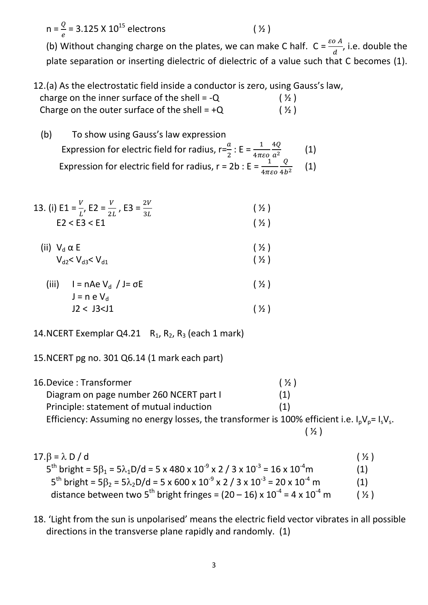$n = \frac{Q}{a}$  $\frac{Q}{e}$  = 3.125 X 10<sup>15</sup> electrons ( ½ )

(b) Without changing charge on the plates, we can make C half.  $C = \frac{e^{i\theta} A}{d}$ , i.e. double the plate separation or inserting dielectric of dielectric of a value such that C becomes (1).

12.(a) As the electrostatic field inside a conductor is zero, using Gauss's law,

charge on the inner surface of the shell =  $-Q$  (  $\frac{1}{2}$  )

Charge on the outer surface of the shell =  $+Q$  (  $\frac{1}{2}$  )

(b) To show using Gauss's law expression Expression for electric field for radius,  $r=\frac{a}{2}$ : E =  $\frac{a}{4}$  $\overline{\mathbf{r}}$  $\boldsymbol{a}$ (1) Expression for electric field for radius,  $r = 2b : E = \frac{1}{4}$ Q  $4b<sup>2</sup>$ (1)

| 13. (i) E1 = $\frac{V}{L}$ , E2 = $\frac{V}{2L}$ , E3 = $\frac{2V}{3L}$ | $(\frac{1}{2})$ |
|-------------------------------------------------------------------------|-----------------|
| E2 < E3 < E1                                                            | $(\frac{1}{2})$ |

- (ii)  $V_d \alpha E$  (  $\frac{1}{2}$  )  $V_{d2} < V_{d3} < V_{d1}$  (  $V_2$  )
- (iii)  $I = nAeV_d / J = \sigma E$  ( ½ )  $J = n e V_d$  $J2 < J3 < J1$  (  $\frac{1}{2}$  )

14.NCERT Exemplar Q4.21  $R_1$ ,  $R_2$ ,  $R_3$  (each 1 mark)

15.NCERT pg no. 301 Q6.14 (1 mark each part)

| 16. Device: Transformer                                                                           | $(\frac{1}{2})$ |
|---------------------------------------------------------------------------------------------------|-----------------|
| Diagram on page number 260 NCERT part I                                                           | (1)             |
| Principle: statement of mutual induction                                                          | (1)             |
| Efficiency: Assuming no energy losses, the transformer is 100% efficient i.e. $I_0V_0 = I_sV_s$ . |                 |
|                                                                                                   | (½)             |

| $17.\beta = \lambda D/d$                                                                                                                                  | (½)   |
|-----------------------------------------------------------------------------------------------------------------------------------------------------------|-------|
| $5^{th}$ bright = $5\beta_1 = 5\lambda_1 D/d = 5 \times 480 \times 10^{-9} \times 2 / 3 \times 10^{-3} = 16 \times 10^{-4}$ m                             | (1)   |
| $5^{th}$ bright = 5 $\beta$ <sub>2</sub> = 5 $\lambda$ <sub>2</sub> D/d = 5 x 600 x 10 <sup>-9</sup> x 2 / 3 x 10 <sup>-3</sup> = 20 x 10 <sup>-4</sup> m | (1)   |
| distance between two 5 <sup>th</sup> bright fringes = $(20 - 16) \times 10^{-4} = 4 \times 10^{-4}$ m                                                     | ( ½ ) |

18. 'Light from the sun is unpolarised' means the electric field vector vibrates in all possible directions in the transverse plane rapidly and randomly. (1)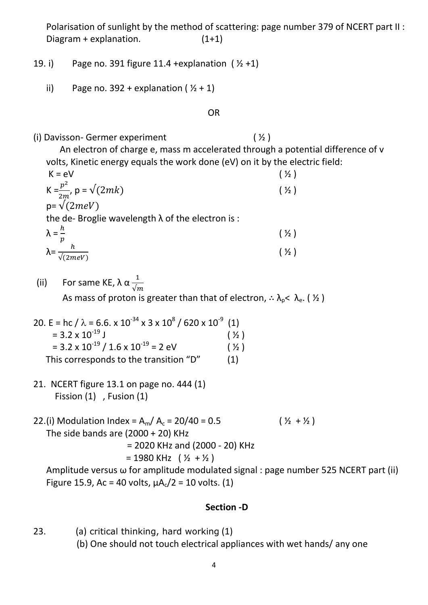Polarisation of sunlight by the method of scattering: page number 379 of NCERT part II : Diagram + explanation. (1+1)

- 19. i) Page no. 391 figure 11.4 + explanation  $(\frac{1}{2} + 1)$ 
	- ii) Page no. 392 + explanation  $($   $\frac{1}{2}$  + 1)

#### OR

(i) Davisson- Germer experiment ( ½ )

 An electron of charge e, mass m accelerated through a potential difference of v volts, Kinetic energy equals the work done (eV) on it by the electric field:

$$
K = eV
$$
\n
$$
K = \frac{p^2}{2m}, p = \sqrt{2mk}
$$
\n
$$
p = \sqrt{2meV}
$$
\n
$$
V = \frac{h}{p}
$$
\n
$$
\lambda = \frac{h}{\sqrt{2meV}}
$$
\n
$$
(1/2)
$$
\n
$$
V = \frac{h}{\sqrt{2meV}}
$$
\n
$$
(1/2)
$$

(ii) For same KE,  $\lambda \alpha \frac{1}{\sqrt{2}}$ As mass of proton is greater than that of electron,  $\therefore \lambda_p < \lambda_e$ . ( $\frac{1}{2}$ )

- 20. E = hc /  $\lambda$  = 6.6. x 10<sup>-34</sup> x 3 x 10<sup>8</sup> / 620 x 10<sup>-9</sup> (1)  $= 3.2 \times 10^{-19}$  J ( %)  $= 3.2 \times 10^{-19} / 1.6 \times 10^{-19} = 2 \text{ eV}$  (  $\frac{\text{V}}{\text{V}}$  ) This corresponds to the transition "D" (1)
- 21. NCERT figure 13.1 on page no. 444 (1) Fission (1) , Fusion (1)
- 22.(i) Modulation Index = A<sub>m</sub>/ A<sub>c</sub> = 20/40 = 0.5 ( $\frac{1}{2} + \frac{1}{2}$ ) The side bands are  $(2000 + 20)$  KHz = 2020 KHz and (2000 - 20) KHz  $= 1980$  KHz  $(\frac{1}{2} + \frac{1}{2})$ Amplitude versus ω for amplitude modulated signal : page number 525 NCERT part (ii) Figure 15.9, Ac = 40 volts,  $\mu A_c/2 = 10$  volts. (1)

### **Section -D**

23. (a) critical thinking, hard working (1) (b) One should not touch electrical appliances with wet hands/ any one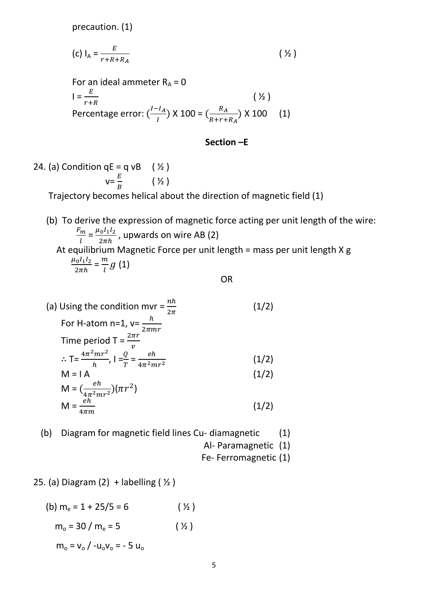precaution. (1)

$$
(c) I_A = \frac{E}{r + R + R_A} \tag{12}
$$

For an ideal ammeter R<sub>A</sub> = 0  
\n
$$
I = \frac{E}{r+R}
$$
\n(12)  
\nPercentage error:  $\left(\frac{I-I_A}{I}\right) \times 100 = \left(\frac{R_A}{R+r+R_A}\right) \times 100$  (1)

#### **Section –E**

24. (a) Condition  $qE = q vB$  (  $\frac{1}{2}$  )  $V=\frac{E}{R}$  $\frac{L}{B}$  (  $\frac{V_2}{V_1}$  )

Trajectory becomes helical about the direction of magnetic field (1)

(b) To derive the expression of magnetic force acting per unit length of the wire:  $\overline{F}$  $\frac{\mu}{l} = \frac{\mu}{l}$  $\frac{10^{11/2}}{2\pi h}$ , upwards on wire AB (2) At equilibrium Magnetic Force per unit length = mass per unit length X g

$$
\frac{\mu_0 I_1 I_2}{2\pi h} = \frac{m}{l} g\ (1)
$$

OR

- (a) Using the condition mvr =  $\frac{n}{2}$  $(1/2)$ For H-atom n=1,  $v=\frac{1}{2}$ Time period T =  $\frac{2\pi}{v}$  $\therefore$  T=  $\frac{4\pi^2 m r^2}{h}$  $\frac{m r^2}{h}$ ,  $I = \frac{Q}{T} = \frac{e}{4\pi^2}$  $4\pi^2 mr^2$  $(1/2)$  $M = I A$  (1/2)  $M = \left(\frac{e}{4\pi^2}\right)$  $\frac{en}{4\pi^2mr^2}$  $(\pi r^2)$  $M = \frac{1}{4}$  $(1/2)$
- (b) Diagram for magnetic field lines Cu- diamagnetic (1)
	- Al- Paramagnetic (1)
	- Fe- Ferromagnetic (1)
- 25. (a) Diagram  $(2)$  + labelling  $(\frac{1}{2})$ 
	- (b)  $m_e = 1 + 25/5 = 6$  ( $\frac{1}{2}$ )
		- $m_o = 30 / m_e = 5$  (  $\frac{\gamma_2}{\gamma_1}$
		- $m_0 = v_0 / -u_0v_0 = -5 u_0$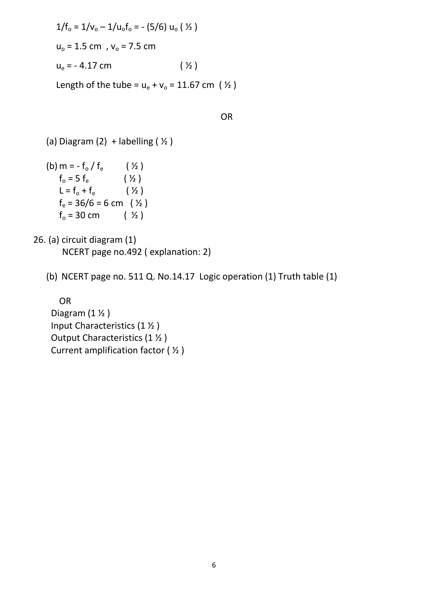$1/f_{o} = 1/v_{o} - 1/u_{o}f_{o} = - (5/6) u_{o} (1/2)$  $u_0 = 1.5$  cm,  $v_0 = 7.5$  cm  $u_e$  = - 4.17 cm (  $\frac{1}{2}$  )

Length of the tube =  $u_e + v_o = 11.67$  cm ( $\frac{1}{2}$ )

OR

```
(a) Diagram (2) + labelling (\frac{1}{2})
```

```
(b) m = - f_o / f_e ( ½ )
 f_o = 5 f_e ( \frac{1}{2} )
 L = f_o + f_e ( \frac{1}{2} )
f_e = 36/6 = 6 cm ( \frac{1}{2} )
 f_0 = 30 cm ( \frac{1}{2} )
```
26. (a) circuit diagram (1)

NCERT page no.492 ( explanation: 2)

(b) NCERT page no. 511 Q. No.14.17 Logic operation (1) Truth table (1)

OR

Diagram (1 ½ ) Input Characteristics (1 ½ ) Output Characteristics (1 ½ ) Current amplification factor ( $\frac{1}{2}$ )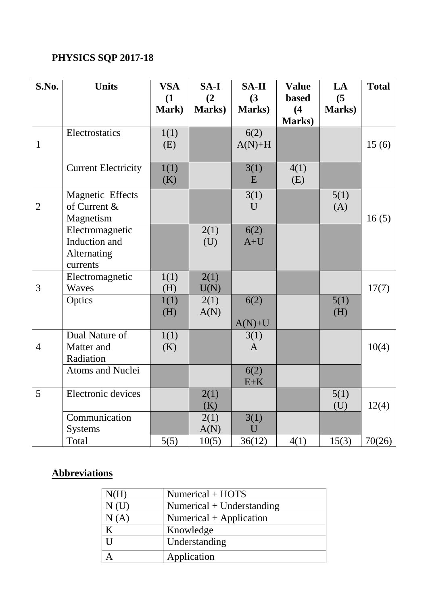# **PHYSICS SQP 2017-18**

| S.No.          | <b>Units</b>               | <b>VSA</b> | SA-I   | <b>SA-II</b>   | <b>Value</b> | LA          | <b>Total</b> |
|----------------|----------------------------|------------|--------|----------------|--------------|-------------|--------------|
|                |                            | (1)        | (2)    | (3)            | <b>based</b> | (5)         |              |
|                |                            | Mark)      | Marks) | Marks)         | (4)          | Marks)      |              |
|                |                            |            |        |                | Marks)       |             |              |
|                | Electrostatics             | 1(1)       |        | 6(2)           |              |             |              |
| $\mathbf{1}$   |                            | (E)        |        | $A(N)+H$       |              |             | 15(6)        |
|                | <b>Current Electricity</b> | 1(1)       |        | 3(1)           | 4(1)         |             |              |
|                |                            | (K)        |        | E              | (E)          |             |              |
|                | Magnetic Effects           |            |        |                |              |             |              |
| $\overline{2}$ | of Current &               |            |        | 3(1)<br>U      |              | 5(1)<br>(A) |              |
|                | Magnetism                  |            |        |                |              |             | 16(5)        |
|                | Electromagnetic            |            | 2(1)   | 6(2)           |              |             |              |
|                | Induction and              |            | (U)    | $A+U$          |              |             |              |
|                | Alternating                |            |        |                |              |             |              |
|                | currents                   |            |        |                |              |             |              |
|                | Electromagnetic            | 1(1)       | 2(1)   |                |              |             |              |
| 3              | Waves                      | (H)        | U(N)   |                |              |             | 17(7)        |
|                | Optics                     | 1(1)       | 2(1)   | 6(2)           |              | 5(1)        |              |
|                |                            | (H)        | A(N)   |                |              | (H)         |              |
|                |                            |            |        | $A(N)+U$       |              |             |              |
|                | Dual Nature of             | 1(1)       |        | 3(1)           |              |             |              |
| $\overline{4}$ | Matter and                 | (K)        |        | $\overline{A}$ |              |             | 10(4)        |
|                | Radiation                  |            |        |                |              |             |              |
|                | Atoms and Nuclei           |            |        | 6(2)           |              |             |              |
|                |                            |            |        | $E+K$          |              |             |              |
| 5              | Electronic devices         |            | 2(1)   |                |              | 5(1)        |              |
|                |                            |            | (K)    |                |              | (U)         | 12(4)        |
|                | Communication              |            | 2(1)   | 3(1)           |              |             |              |
|                | <b>Systems</b>             |            | A(N)   | U              |              |             |              |
|                | Total                      | 5(5)       | 10(5)  | 36(12)         | 4(1)         | 15(3)       | 70(26)       |

# **Abbreviations**

| N(H) | $Numerical + HOTS$        |
|------|---------------------------|
| N(U) | Numerical + Understanding |
|      | Numerical + Application   |
|      | Knowledge                 |
|      | Understanding             |
|      | Application               |